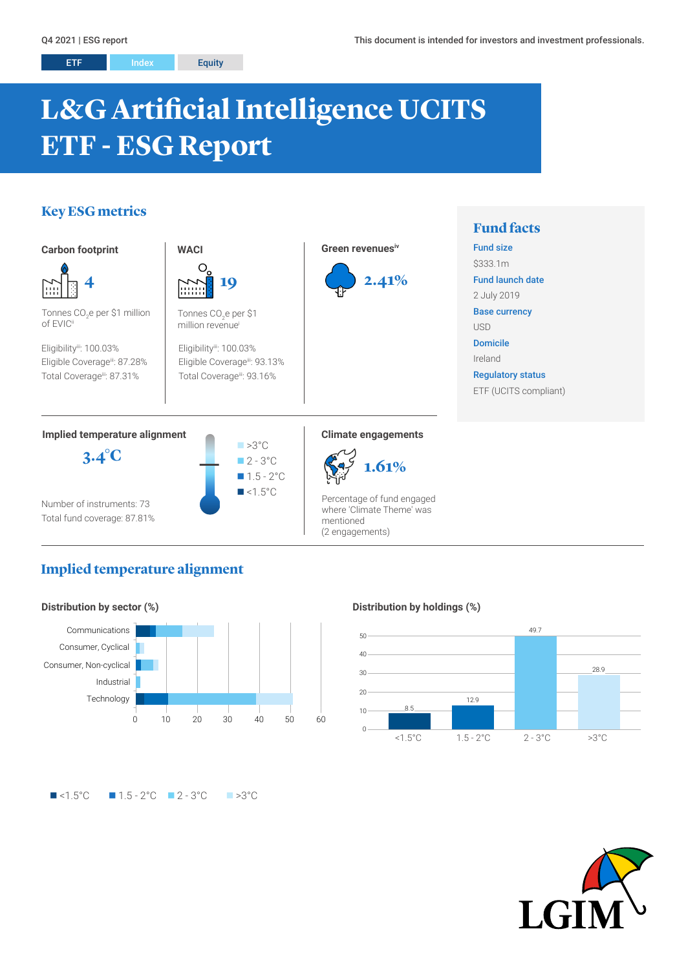# **L&G Artificial Intelligence UCITS ETF - ESG Report**

# **Key ESG metrics**



# **Implied temperature alignment**



### **Distribution by holdings (%)**



# $\blacksquare$ <1.5°C  $\blacksquare$  1.5 - 2°C  $\blacksquare$  2 - 3°C  $\blacksquare$  >3°C

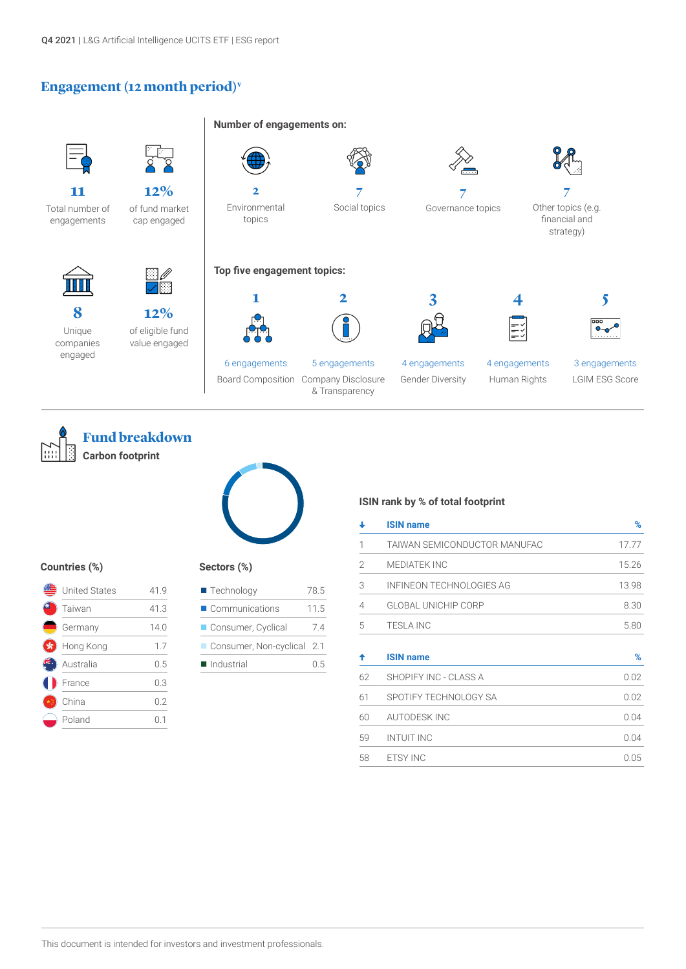# **Engagement (12 month period)v**







#### **Countries (%)**

| United States | 41.9 |
|---------------|------|
| Taiwan        | 41.3 |
| Germany       | 14.0 |
| Hong Kong     | 1.7  |
| Australia     | 0.5  |
| France        | 0.3  |
| China         | 0.2  |
| Poland        |      |

#### **Sectors (%)**

| $\blacksquare$ Technology  | 78.5  |
|----------------------------|-------|
| Communications             | 11.5  |
| Consumer, Cyclical         | 74    |
| Consumer, Non-cyclical 2.1 |       |
| Industrial                 | (0.5) |
|                            |       |

#### **ISIN rank by % of total footprint**

| ┹              | <b>ISIN name</b>             | %     |  |
|----------------|------------------------------|-------|--|
| 1              | TAIWAN SEMICONDUCTOR MANUFAC | 17.77 |  |
| $\overline{2}$ | <b>MEDIATEK INC</b>          | 15.26 |  |
| 3              | INFINEON TECHNOLOGIES AG     | 13.98 |  |
| $\overline{4}$ | <b>GLOBAL UNICHIP CORP</b>   | 8.30  |  |
| 5              | <b>TESLA INC</b>             | 5.80  |  |
| ↟              | <b>ISIN name</b>             | $\%$  |  |
| 62             | SHOPIFY INC - CLASS A        | 0.02  |  |
| 61             | SPOTIFY TECHNOLOGY SA        | 0.02  |  |
| 60             | <b>AUTODESK INC</b>          | 0.04  |  |
| 59             | <b>INTUIT INC</b>            | 0.04  |  |
| 58             | <b>ETSY INC</b>              | 0.05  |  |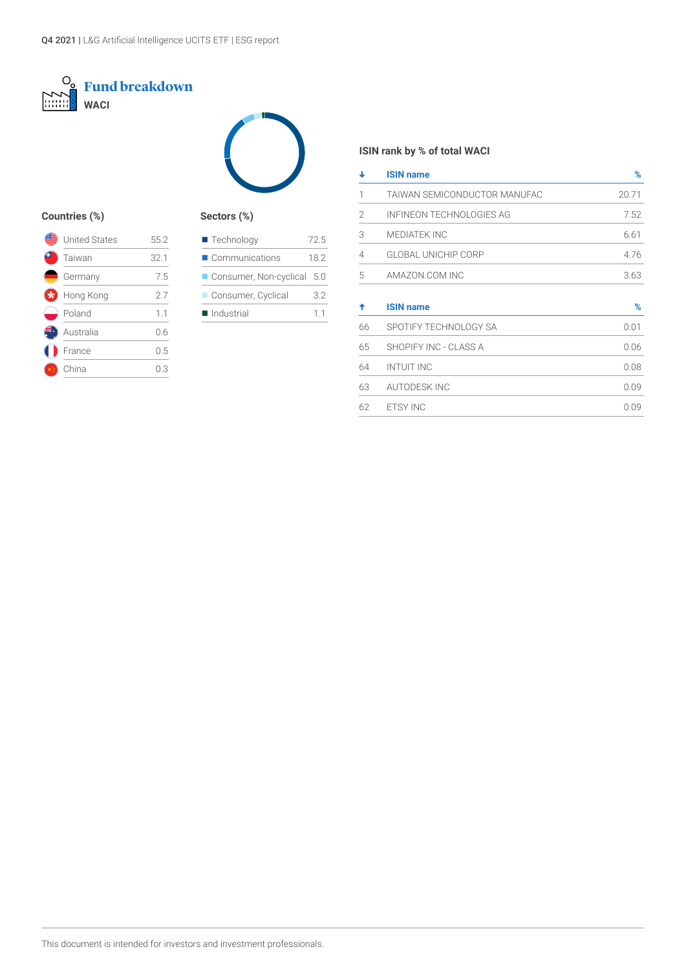



# **Countries (%) Sectors (%)**

| <b>United States</b> | 55.2 |
|----------------------|------|
| Taiwan               | 32.1 |
| Germany              | 7.5  |
| Hong Kong            | 2.7  |
| Poland               | 1.1  |
| Australia            | 0.6  |
| France               | 0.5  |
| China                | 03   |
|                      |      |

| Communications<br>Consumer, Non-cyclical<br>Consumer, Cyclical | $\blacksquare$ Technology | 72.5  |
|----------------------------------------------------------------|---------------------------|-------|
|                                                                |                           | 18.2  |
|                                                                |                           | - 5.0 |
|                                                                |                           | 3.2   |
| Industrial<br>11                                               |                           |       |

# **ISIN rank by % of total WACI**

| ┹  | <b>ISIN name</b>             | %     |
|----|------------------------------|-------|
| 1  | TAIWAN SEMICONDUCTOR MANUFAC | 20.71 |
| 2  | INFINEON TECHNOLOGIES AG     | 7.52  |
| 3  | <b>MEDIATEK INC</b>          | 6.61  |
| 4  | <b>GLOBAL UNICHIP CORP</b>   | 4.76  |
| 5  | AMAZON.COM INC               | 3.63  |
| ♠  | <b>ISIN name</b>             | $\%$  |
| 66 | SPOTIFY TECHNOLOGY SA        | 0.01  |
| 65 | SHOPIFY INC - CLASS A        | 0.06  |
| 64 | <b>INTUIT INC</b>            | 0.08  |
| 63 | <b>AUTODESK INC</b>          | 0.09  |
| 62 | <b>ETSY INC</b>              | 0.09  |